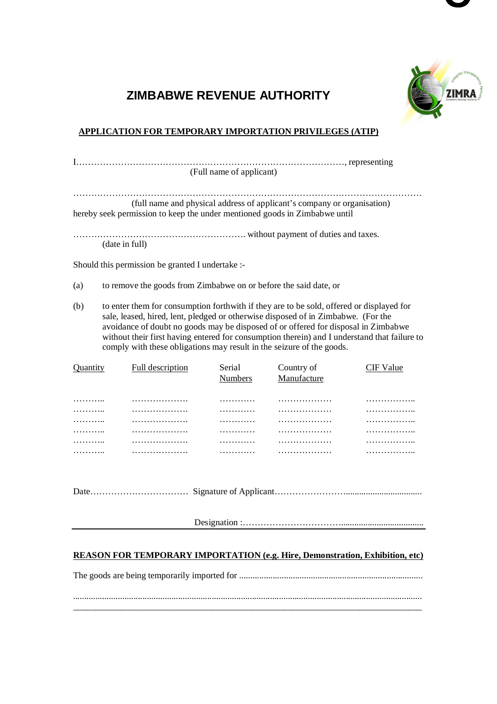

**C**

## **ZIMBABWE REVENUE AUTHORITY**

## **APPLICATION FOR TEMPORARY IMPORTATION PRIVILEGES (ATIP)**

| (Full name of applicant) |                                                                                                                                                                                                                                                                                                                                                                     |  |  |  |  |  |
|--------------------------|---------------------------------------------------------------------------------------------------------------------------------------------------------------------------------------------------------------------------------------------------------------------------------------------------------------------------------------------------------------------|--|--|--|--|--|
|                          |                                                                                                                                                                                                                                                                                                                                                                     |  |  |  |  |  |
|                          | (full name and physical address of applicant's company or organisation)<br>hereby seek permission to keep the under mentioned goods in Zimbabwe until                                                                                                                                                                                                               |  |  |  |  |  |
|                          | (date in full)                                                                                                                                                                                                                                                                                                                                                      |  |  |  |  |  |
|                          | Should this permission be granted I undertake :-                                                                                                                                                                                                                                                                                                                    |  |  |  |  |  |
| (a)                      | to remove the goods from Zimbabwe on or before the said date, or                                                                                                                                                                                                                                                                                                    |  |  |  |  |  |
| (b)                      | to enter them for consumption forthwith if they are to be sold, offered or displayed for<br>sale, leased, hired, lent, pledged or otherwise disposed of in Zimbabwe. (For the<br>avoidance of doubt no goods may be disposed of or offered for disposal in Zimbabwe<br>without their first having entered for consumption therein) and I understand that failure to |  |  |  |  |  |

|   | Full description | Serial<br><b>Numbers</b> | Country of<br>Manufacture | /alue |
|---|------------------|--------------------------|---------------------------|-------|
| . | .                | .                        | .                         | .     |
| . | .                | .                        | .                         | .     |
| . | .                | .                        | .                         | .     |
| . | .                | .                        | .                         | .     |
| . | .                | .                        | .                         | .     |
| . | .                | .                        | .                         | .     |
|   |                  |                          |                           |       |

comply with these obligations may result in the seizure of the goods.

Date…………………………… Signature of Applicant……………………..................................

Designation :…………………………….....................................

## **REASON FOR TEMPORARY IMPORTATION (e.g. Hire, Demonstration, Exhibition, etc)**

The goods are being temporarily imported for .................................................................................. ............................................................................................................................................................

\_\_\_\_\_\_\_\_\_\_\_\_\_\_\_\_\_\_\_\_\_\_\_\_\_\_\_\_\_\_\_\_\_\_\_\_\_\_\_\_\_\_\_\_\_\_\_\_\_\_\_\_\_\_\_\_\_\_\_\_\_\_\_\_\_\_\_\_\_\_\_\_\_\_\_\_\_\_